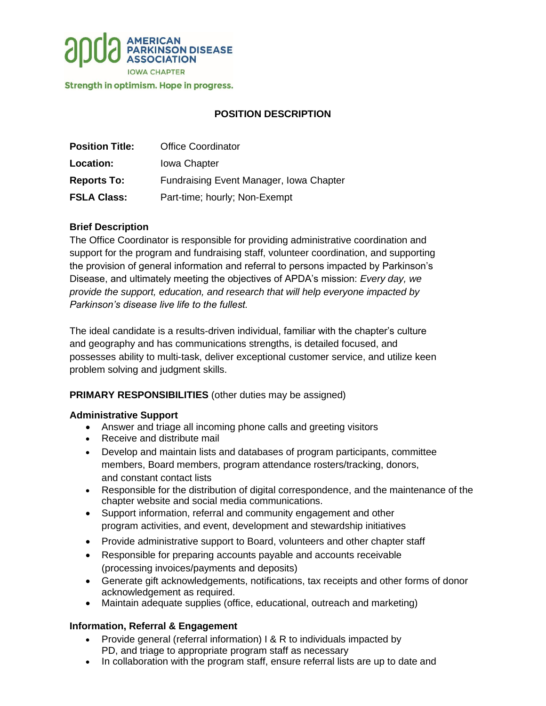

Strength in optimism. Hope in progress.

# **POSITION DESCRIPTION**

| <b>Position Title:</b> | <b>Office Coordinator</b>               |
|------------------------|-----------------------------------------|
| Location:              | <b>Iowa Chapter</b>                     |
| <b>Reports To:</b>     | Fundraising Event Manager, Iowa Chapter |
| <b>FSLA Class:</b>     | Part-time; hourly; Non-Exempt           |

## **Brief Description**

The Office Coordinator is responsible for providing administrative coordination and support for the program and fundraising staff, volunteer coordination, and supporting the provision of general information and referral to persons impacted by Parkinson's Disease, and ultimately meeting the objectives of APDA's mission: *Every day, we provide the support, education, and research that will help everyone impacted by Parkinson's disease live life to the fullest.*

The ideal candidate is a results-driven individual, familiar with the chapter's culture and geography and has communications strengths, is detailed focused, and possesses ability to multi-task, deliver exceptional customer service, and utilize keen problem solving and judgment skills.

## **PRIMARY RESPONSIBILITIES** (other duties may be assigned)

#### **Administrative Support**

- Answer and triage all incoming phone calls and greeting visitors
- Receive and distribute mail
- Develop and maintain lists and databases of program participants, committee members, Board members, program attendance rosters/tracking, donors, and constant contact lists
- Responsible for the distribution of digital correspondence, and the maintenance of the chapter website and social media communications.
- Support information, referral and community engagement and other program activities, and event, development and stewardship initiatives
- Provide administrative support to Board, volunteers and other chapter staff
- Responsible for preparing accounts payable and accounts receivable (processing invoices/payments and deposits)
- Generate gift acknowledgements, notifications, tax receipts and other forms of donor acknowledgement as required.
- Maintain adequate supplies (office, educational, outreach and marketing)

#### **Information, Referral & Engagement**

- Provide general (referral information) I & R to individuals impacted by PD, and triage to appropriate program staff as necessary
- In collaboration with the program staff, ensure referral lists are up to date and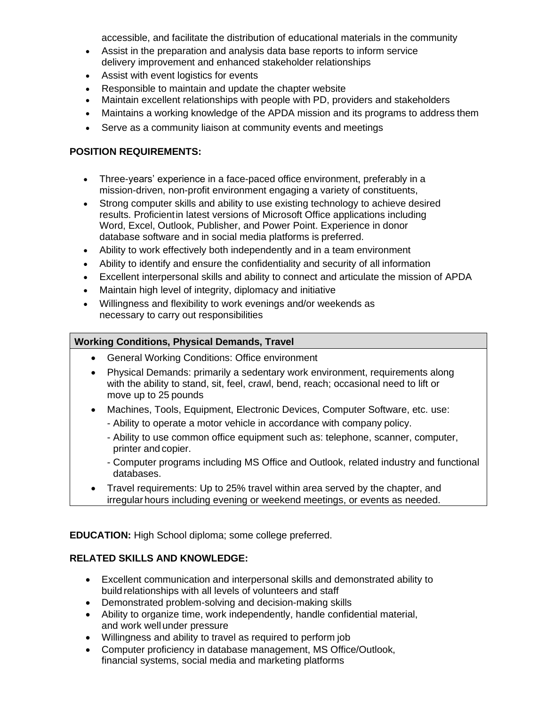accessible, and facilitate the distribution of educational materials in the community

- Assist in the preparation and analysis data base reports to inform service delivery improvement and enhanced stakeholder relationships
- Assist with event logistics for events
- Responsible to maintain and update the chapter website
- Maintain excellent relationships with people with PD, providers and stakeholders
- Maintains a working knowledge of the APDA mission and its programs to address them
- Serve as a community liaison at community events and meetings

## **POSITION REQUIREMENTS:**

- Three-years' experience in a face-paced office environment, preferably in a mission-driven, non-profit environment engaging a variety of constituents,
- Strong computer skills and ability to use existing technology to achieve desired results. Proficientin latest versions of Microsoft Office applications including Word, Excel, Outlook, Publisher, and Power Point. Experience in donor database software and in social media platforms is preferred.
- Ability to work effectively both independently and in a team environment
- Ability to identify and ensure the confidentiality and security of all information
- Excellent interpersonal skills and ability to connect and articulate the mission of APDA
- Maintain high level of integrity, diplomacy and initiative
- Willingness and flexibility to work evenings and/or weekends as necessary to carry out responsibilities

## **Working Conditions, Physical Demands, Travel**

- General Working Conditions: Office environment
- Physical Demands: primarily a sedentary work environment, requirements along with the ability to stand, sit, feel, crawl, bend, reach; occasional need to lift or move up to 25 pounds
- Machines, Tools, Equipment, Electronic Devices, Computer Software, etc. use:
	- Ability to operate a motor vehicle in accordance with company policy.
	- Ability to use common office equipment such as: telephone, scanner, computer, printer and copier.
	- Computer programs including MS Office and Outlook, related industry and functional databases.
- Travel requirements: Up to 25% travel within area served by the chapter, and irregular hours including evening or weekend meetings, or events as needed.

**EDUCATION:** High School diploma; some college preferred.

## **RELATED SKILLS AND KNOWLEDGE:**

- Excellent communication and interpersonal skills and demonstrated ability to build relationships with all levels of volunteers and staff
- Demonstrated problem-solving and decision-making skills
- Ability to organize time, work independently, handle confidential material, and work wellunder pressure
- Willingness and ability to travel as required to perform job
- Computer proficiency in database management, MS Office/Outlook, financial systems, social media and marketing platforms